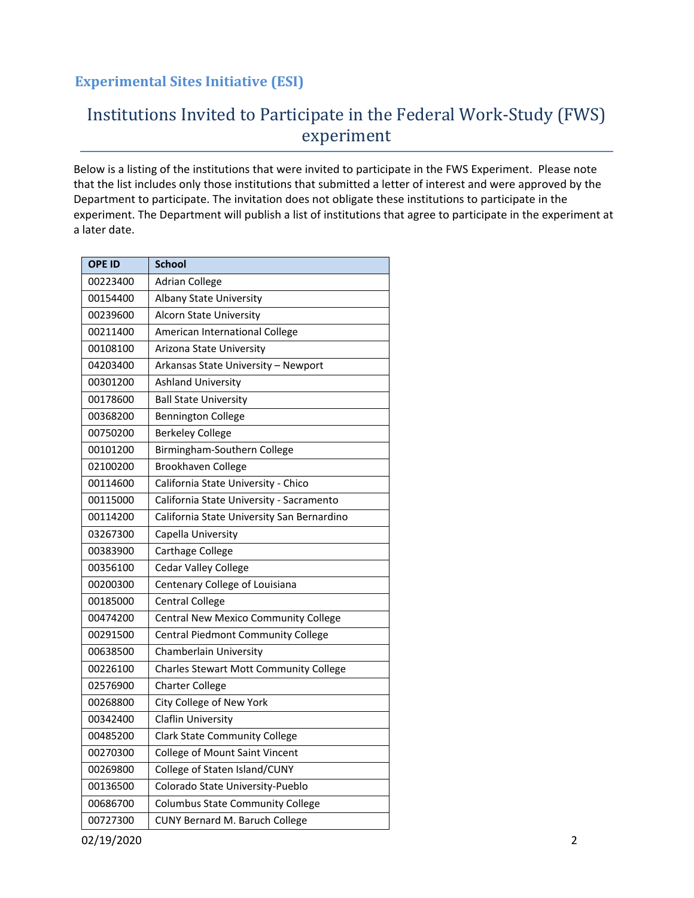# Institutions Invited to Participate in the Federal Work-Study (FWS) experiment

Below is a listing of the institutions that were invited to participate in the FWS Experiment. Please note that the list includes only those institutions that submitted a letter of interest and were approved by the Department to participate. The invitation does not obligate these institutions to participate in the experiment. The Department will publish a list of institutions that agree to participate in the experiment at a later date.

| <b>OPE ID</b> | <b>School</b>                                 |
|---------------|-----------------------------------------------|
| 00223400      | <b>Adrian College</b>                         |
| 00154400      | Albany State University                       |
| 00239600      | <b>Alcorn State University</b>                |
| 00211400      | American International College                |
| 00108100      | Arizona State University                      |
| 04203400      | Arkansas State University - Newport           |
| 00301200      | <b>Ashland University</b>                     |
| 00178600      | <b>Ball State University</b>                  |
| 00368200      | <b>Bennington College</b>                     |
| 00750200      | <b>Berkeley College</b>                       |
| 00101200      | Birmingham-Southern College                   |
| 02100200      | <b>Brookhaven College</b>                     |
| 00114600      | California State University - Chico           |
| 00115000      | California State University - Sacramento      |
| 00114200      | California State University San Bernardino    |
| 03267300      | Capella University                            |
| 00383900      | Carthage College                              |
| 00356100      | <b>Cedar Valley College</b>                   |
| 00200300      | Centenary College of Louisiana                |
| 00185000      | <b>Central College</b>                        |
| 00474200      | <b>Central New Mexico Community College</b>   |
| 00291500      | Central Piedmont Community College            |
| 00638500      | Chamberlain University                        |
| 00226100      | <b>Charles Stewart Mott Community College</b> |
| 02576900      | <b>Charter College</b>                        |
| 00268800      | City College of New York                      |
| 00342400      | <b>Claflin University</b>                     |
| 00485200      | <b>Clark State Community College</b>          |
| 00270300      | <b>College of Mount Saint Vincent</b>         |
| 00269800      | College of Staten Island/CUNY                 |
| 00136500      | Colorado State University-Pueblo              |
| 00686700      | <b>Columbus State Community College</b>       |
| 00727300      | CUNY Bernard M. Baruch College                |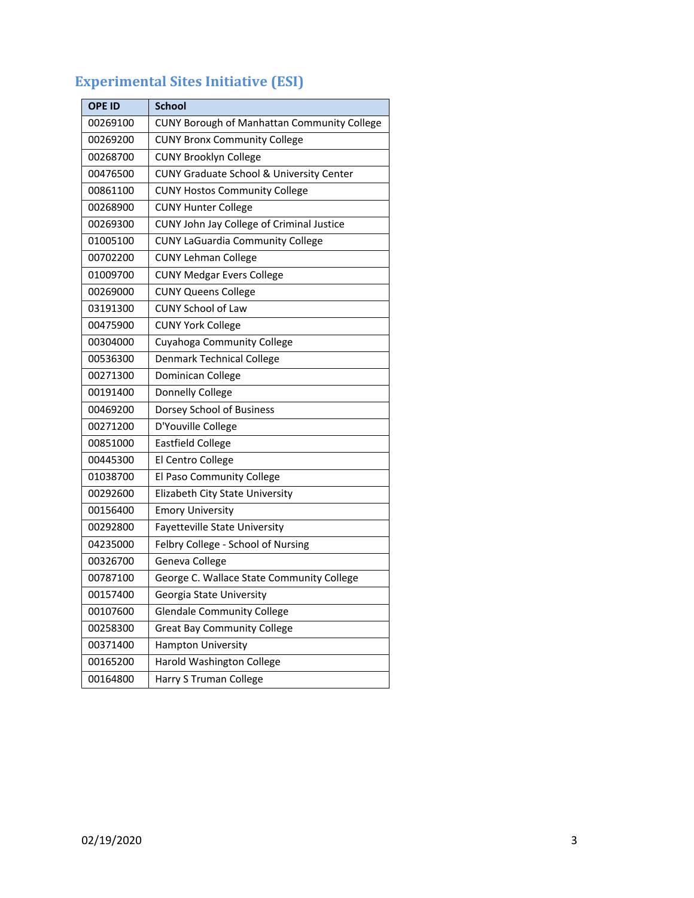| <b>OPE ID</b> | <b>School</b>                               |  |
|---------------|---------------------------------------------|--|
| 00269100      | CUNY Borough of Manhattan Community College |  |
| 00269200      | <b>CUNY Bronx Community College</b>         |  |
| 00268700      | <b>CUNY Brooklyn College</b>                |  |
| 00476500      | CUNY Graduate School & University Center    |  |
| 00861100      | <b>CUNY Hostos Community College</b>        |  |
| 00268900      | <b>CUNY Hunter College</b>                  |  |
| 00269300      | CUNY John Jay College of Criminal Justice   |  |
| 01005100      | <b>CUNY LaGuardia Community College</b>     |  |
| 00702200      | <b>CUNY Lehman College</b>                  |  |
| 01009700      | <b>CUNY Medgar Evers College</b>            |  |
| 00269000      | <b>CUNY Queens College</b>                  |  |
| 03191300      | <b>CUNY School of Law</b>                   |  |
| 00475900      | <b>CUNY York College</b>                    |  |
| 00304000      | Cuyahoga Community College                  |  |
| 00536300      | Denmark Technical College                   |  |
| 00271300      | Dominican College                           |  |
| 00191400      | Donnelly College                            |  |
| 00469200      | Dorsey School of Business                   |  |
| 00271200      | D'Youville College                          |  |
| 00851000      | <b>Eastfield College</b>                    |  |
| 00445300      | El Centro College                           |  |
| 01038700      | El Paso Community College                   |  |
| 00292600      | Elizabeth City State University             |  |
| 00156400      | <b>Emory University</b>                     |  |
| 00292800      | Fayetteville State University               |  |
| 04235000      | Felbry College - School of Nursing          |  |
| 00326700      | Geneva College                              |  |
| 00787100      | George C. Wallace State Community College   |  |
| 00157400      | Georgia State University                    |  |
| 00107600      | <b>Glendale Community College</b>           |  |
| 00258300      | <b>Great Bay Community College</b>          |  |
| 00371400      | Hampton University                          |  |
| 00165200      | Harold Washington College                   |  |
| 00164800      | Harry S Truman College                      |  |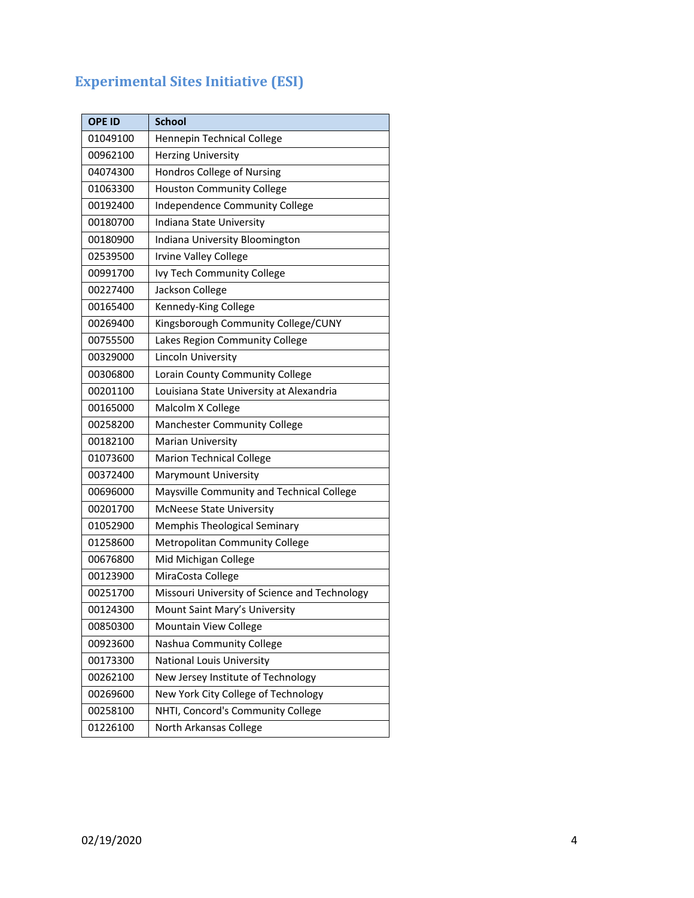| <b>OPE ID</b> | <b>School</b>                                 |
|---------------|-----------------------------------------------|
| 01049100      | Hennepin Technical College                    |
| 00962100      | <b>Herzing University</b>                     |
| 04074300      | Hondros College of Nursing                    |
| 01063300      | <b>Houston Community College</b>              |
| 00192400      | Independence Community College                |
| 00180700      | Indiana State University                      |
| 00180900      | Indiana University Bloomington                |
| 02539500      | Irvine Valley College                         |
| 00991700      | Ivy Tech Community College                    |
| 00227400      | Jackson College                               |
| 00165400      | Kennedy-King College                          |
| 00269400      | Kingsborough Community College/CUNY           |
| 00755500      | Lakes Region Community College                |
| 00329000      | Lincoln University                            |
| 00306800      | Lorain County Community College               |
| 00201100      | Louisiana State University at Alexandria      |
| 00165000      | Malcolm X College                             |
| 00258200      | <b>Manchester Community College</b>           |
| 00182100      | Marian University                             |
| 01073600      | <b>Marion Technical College</b>               |
| 00372400      | Marymount University                          |
| 00696000      | Maysville Community and Technical College     |
| 00201700      | <b>McNeese State University</b>               |
| 01052900      | <b>Memphis Theological Seminary</b>           |
| 01258600      | <b>Metropolitan Community College</b>         |
| 00676800      | Mid Michigan College                          |
| 00123900      | MiraCosta College                             |
| 00251700      | Missouri University of Science and Technology |
| 00124300      | Mount Saint Mary's University                 |
| 00850300      | Mountain View College                         |
| 00923600      | Nashua Community College                      |
| 00173300      | <b>National Louis University</b>              |
| 00262100      | New Jersey Institute of Technology            |
| 00269600      | New York City College of Technology           |
| 00258100      | NHTI, Concord's Community College             |
| 01226100      | North Arkansas College                        |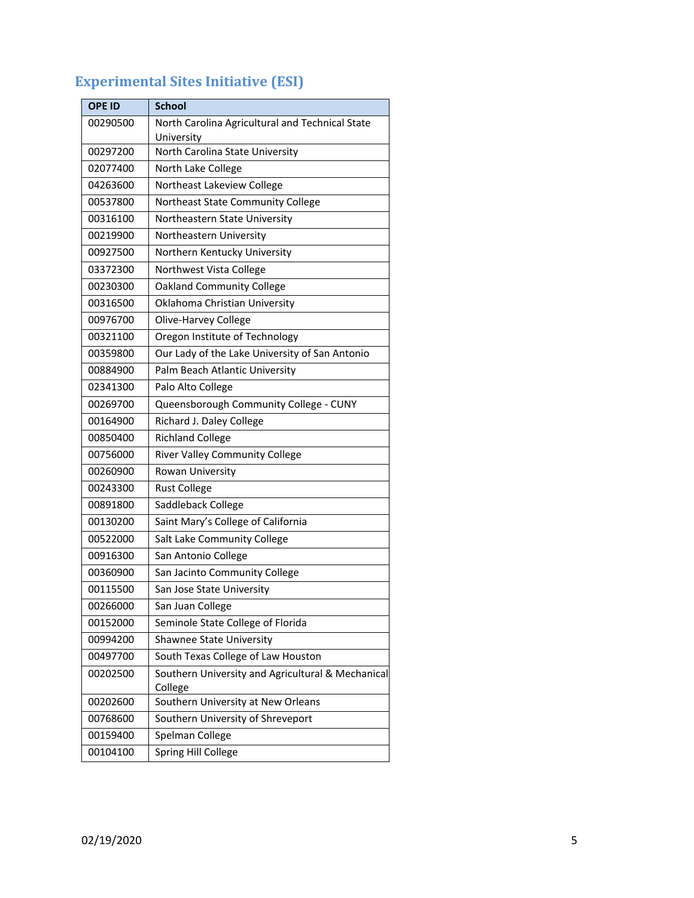| <b>Experimental Sites Initiative (ESI)</b> |  |  |
|--------------------------------------------|--|--|
|--------------------------------------------|--|--|

| <b>OPE ID</b> | <b>School</b>                                     |  |
|---------------|---------------------------------------------------|--|
| 00290500      | North Carolina Agricultural and Technical State   |  |
|               | University                                        |  |
| 00297200      | North Carolina State University                   |  |
| 02077400      | North Lake College                                |  |
| 04263600      | Northeast Lakeview College                        |  |
| 00537800      | Northeast State Community College                 |  |
| 00316100      | Northeastern State University                     |  |
| 00219900      | Northeastern University                           |  |
| 00927500      | Northern Kentucky University                      |  |
| 03372300      | Northwest Vista College                           |  |
| 00230300      | <b>Oakland Community College</b>                  |  |
| 00316500      | Oklahoma Christian University                     |  |
| 00976700      | Olive-Harvey College                              |  |
| 00321100      | Oregon Institute of Technology                    |  |
| 00359800      | Our Lady of the Lake University of San Antonio    |  |
| 00884900      | Palm Beach Atlantic University                    |  |
| 02341300      | Palo Alto College                                 |  |
| 00269700      | Queensborough Community College - CUNY            |  |
| 00164900      | Richard J. Daley College                          |  |
| 00850400      | <b>Richland College</b>                           |  |
| 00756000      | <b>River Valley Community College</b>             |  |
| 00260900      | Rowan University                                  |  |
| 00243300      | <b>Rust College</b>                               |  |
| 00891800      | Saddleback College                                |  |
| 00130200      | Saint Mary's College of California                |  |
| 00522000      | Salt Lake Community College                       |  |
| 00916300      | San Antonio College                               |  |
| 00360900      | San Jacinto Community College                     |  |
| 00115500      | San Jose State University                         |  |
| 00266000      | San Juan College                                  |  |
| 00152000      | Seminole State College of Florida                 |  |
| 00994200      | Shawnee State University                          |  |
| 00497700      | South Texas College of Law Houston                |  |
| 00202500      | Southern University and Agricultural & Mechanical |  |
|               | College                                           |  |
| 00202600      | Southern University at New Orleans                |  |
| 00768600      | Southern University of Shreveport                 |  |
| 00159400      | Spelman College                                   |  |
| 00104100      | Spring Hill College                               |  |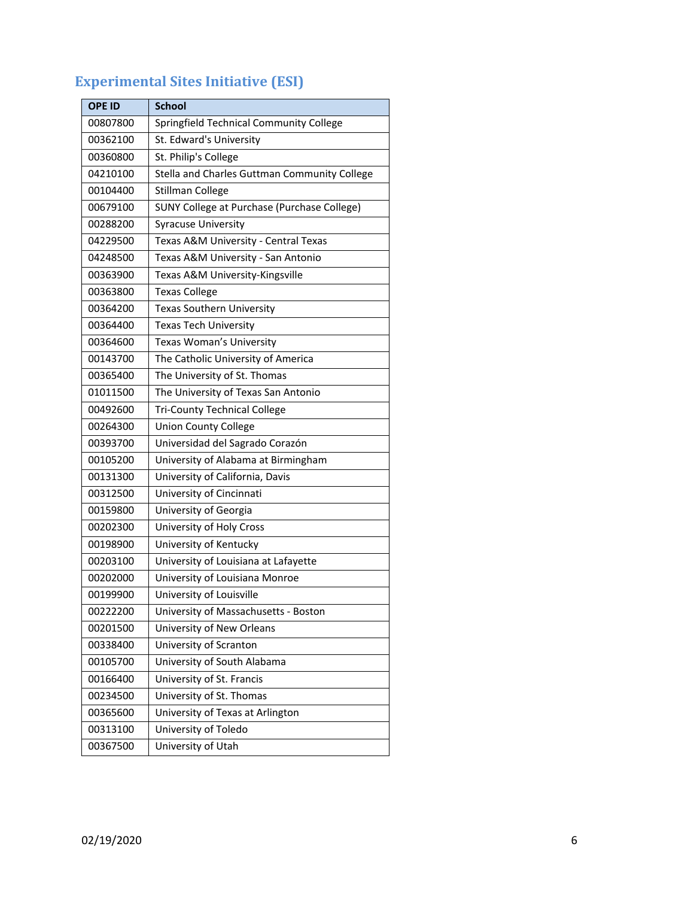| <b>OPE ID</b> | School                                       |  |
|---------------|----------------------------------------------|--|
| 00807800      | Springfield Technical Community College      |  |
| 00362100      | St. Edward's University                      |  |
| 00360800      | St. Philip's College                         |  |
| 04210100      | Stella and Charles Guttman Community College |  |
| 00104400      | <b>Stillman College</b>                      |  |
| 00679100      | SUNY College at Purchase (Purchase College)  |  |
| 00288200      | <b>Syracuse University</b>                   |  |
| 04229500      | Texas A&M University - Central Texas         |  |
| 04248500      | Texas A&M University - San Antonio           |  |
| 00363900      | Texas A&M University-Kingsville              |  |
| 00363800      | <b>Texas College</b>                         |  |
| 00364200      | Texas Southern University                    |  |
| 00364400      | <b>Texas Tech University</b>                 |  |
| 00364600      | Texas Woman's University                     |  |
| 00143700      | The Catholic University of America           |  |
| 00365400      | The University of St. Thomas                 |  |
| 01011500      | The University of Texas San Antonio          |  |
| 00492600      | <b>Tri-County Technical College</b>          |  |
| 00264300      | <b>Union County College</b>                  |  |
| 00393700      | Universidad del Sagrado Corazón              |  |
| 00105200      | University of Alabama at Birmingham          |  |
| 00131300      | University of California, Davis              |  |
| 00312500      | University of Cincinnati                     |  |
| 00159800      | University of Georgia                        |  |
| 00202300      | University of Holy Cross                     |  |
| 00198900      | University of Kentucky                       |  |
| 00203100      | University of Louisiana at Lafayette         |  |
| 00202000      | University of Louisiana Monroe               |  |
| 00199900      | University of Louisville                     |  |
| 00222200      | University of Massachusetts - Boston         |  |
| 00201500      | University of New Orleans                    |  |
| 00338400      | University of Scranton                       |  |
| 00105700      | University of South Alabama                  |  |
| 00166400      | University of St. Francis                    |  |
| 00234500      | University of St. Thomas                     |  |
| 00365600      | University of Texas at Arlington             |  |
| 00313100      | University of Toledo                         |  |
| 00367500      | University of Utah                           |  |